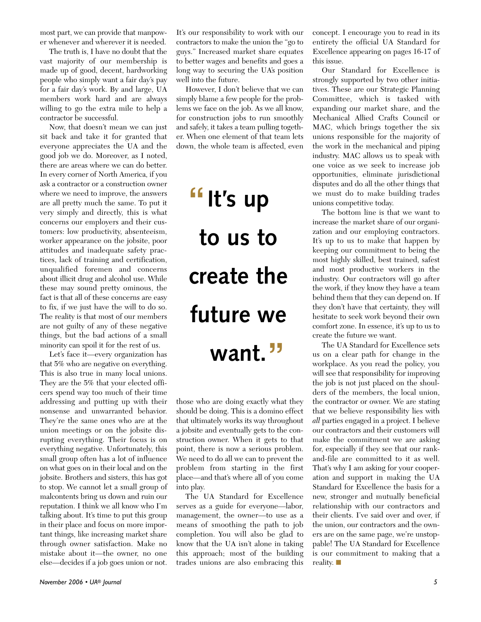most part, we can provide that manpower whenever and wherever it is needed.

The truth is, I have no doubt that the vast majority of our membership is made up of good, decent, hardworking people who simply want a fair day's pay for a fair day's work. By and large, UA members work hard and are always willing to go the extra mile to help a contractor be successful.

Now, that doesn't mean we can just sit back and take it for granted that everyone appreciates the UA and the good job we do. Moreover, as I noted, there are areas where we can do better. In every corner of North America, if you ask a contractor or a construction owner where we need to improve, the answers are all pretty much the same. To put it very simply and directly, this is what concerns our employers and their customers: low productivity, absenteeism, worker appearance on the jobsite, poor attitudes and inadequate safety practices, lack of training and certification, unqualified foremen and concerns about illicit drug and alcohol use. While these may sound pretty ominous, the fact is that all of these concerns are easy to fix, if we just have the will to do so. The reality is that most of our members are not guilty of any of these negative things, but the bad actions of a small minority can spoil it for the rest of us.

Let's face it—every organization has that 5% who are negative on everything. This is also true in many local unions. They are the 5% that your elected officers spend way too much of their time addressing and putting up with their nonsense and unwarranted behavior. They're the same ones who are at the union meetings or on the jobsite disrupting everything. Their focus is on everything negative. Unfortunately, this small group often has a lot of influence on what goes on in their local and on the jobsite. Brothers and sisters, this has got to stop. We cannot let a small group of malcontents bring us down and ruin our reputation. I think we all know who I'm talking about. It's time to put this group in their place and focus on more important things, like increasing market share through owner satisfaction. Make no mistake about it—the owner, no one else—decides if a job goes union or not.

It's our responsibility to work with our contractors to make the union the "go to guys." Increased market share equates to better wages and benefits and goes a long way to securing the UA's position well into the future.

However, I don't believe that we can simply blame a few people for the problems we face on the job. As we all know, for construction jobs to run smoothly and safely, it takes a team pulling together. When one element of that team lets down, the whole team is affected, even

# **It's up " to us to create the future we want. "**

those who are doing exactly what they should be doing. This is a domino effect that ultimately works its way throughout a jobsite and eventually gets to the construction owner. When it gets to that point, there is now a serious problem. We need to do all we can to prevent the p roblem from starting in the first place—and that's where all of you come into play.

The UA Standard for Excellence serves as a guide for everyone—labor, management, the owner—to use as a means of smoothing the path to job completion. You will also be glad to know that the UA isn't alone in taking this approach; most of the building trades unions are also embracing this concept. I encourage you to read in its entirety the official UA Standard for Excellence appearing on pages 16-17 of this issue.

Our Standard for Excellence is strongly supported by two other initiatives. These are our Strategic Planning Committee, which is tasked with expanding our market share, and the Mechanical Allied Crafts Council or MAC, which brings together the six unions responsible for the majority of the work in the mechanical and piping industry. MAC allows us to speak with one voice as we seek to increase job opportunities, eliminate jurisdictional disputes and do all the other things that we must do to make building trades unions competitive today.

The bottom line is that we want to increase the market share of our organization and our employing contractors. It's up to us to make that happen by keeping our commitment to being the most highly skilled, best trained, safest and most productive workers in the industry. Our contractors will go after the work, if they know they have a team behind them that they can depend on. If they don't have that certainty, they will hesitate to seek work beyond their own comfort zone. In essence, it's up to us to create the future we want.

The UA Standard for Excellence sets us on a clear path for change in the workplace. As you read the policy, you will see that responsibility for improving the job is not just placed on the shoulders of the members, the local union, the contractor or owner. We are stating that we believe responsibility lies with *all* parties engaged in a project. I believe our contractors and their customers will make the commitment we are asking for, especially if they see that our rankand-file are committed to it as well. That's why I am asking for your cooperation and support in making the UA Standard for Excellence the basis for a new, stronger and mutually beneficial relationship with our contractors and their clients. I've said over and over, if the union, our contractors and the owners are on the same page, we're unstoppable! The UA Standard for Excellence is our commitment to making that a reality. ■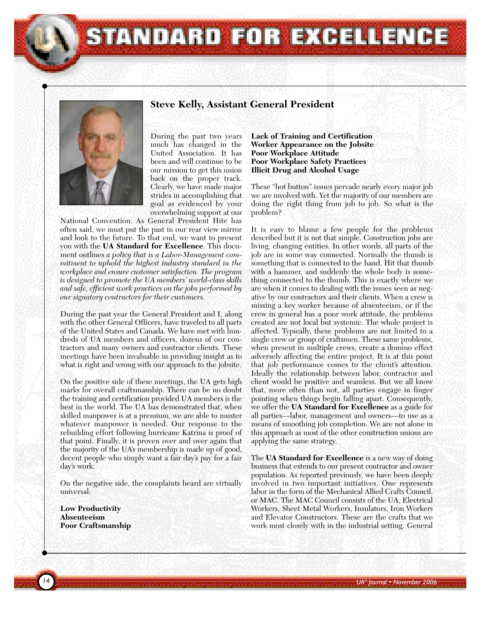**Steve Kelly, Assistant General President**

STANDARD FOR EXCELLENCE



During the past two years much has changed in the United Association. It has been and will continue to be our mission to get this union back on the proper track. Clearly, we have made major strides in accomplishing that goal as evidenced by your overwhelming support at our

National Convention. As General President Hite has often said, we must put the past in our rear view mirror and look to the future. To that end, we want to present you with the **UA Standard for Excellence**. This document outlines *a policy that is a Labor-Management commitment to uphold the highest industry standard in the workplace and ensure customer satisfaction. The program is designed to promote the UA members' world-class skills and safe, efficient work practices on the jobs performed by our signatory contractors for their customers.*

During the past year the General President and I, along with the other General Officers, have traveled to all parts of the United States and Canada. We have met with hundreds of UA members and officers, dozens of our contractors and many owners and contractor clients. These meetings have been invaluable in providing insight as to what is right and wrong with our approach to the jobsite.

On the positive side of these meetings, the UA gets high marks for overall craftsmanship. There can be no doubt the training and certification provided UA members is the best in the world. The UA has demonstrated that, when skilled manpower is at a premium, we are able to muster whatever manpower is needed. Our response to the rebuilding effort following hurricane Katrina is proof of that point. Finally, it is proven over and over again that the majority of the UA's membership is made up of good, decent people who simply want a fair day's pay for a fair day's work.

On the negative side, the complaints heard are virtually universal:

**Low Productivity Absenteeism Poor Craftsmanship** **Lack of Training and Certification Worker Appearance on the Jobsite Poor Workplace Attitude Poor Workplace Safety Practices Illicit Drug and Alcohol Usage**

These "hot button" issues pervade nearly every major job we are involved with. Yet the majority of our members are doing the right thing from job to job. So what is the problem?

It is easy to blame a few people for the problems described but it is not that simple. Construction jobs are living, changing entities. In other words, all parts of the job are in some way connected. Normally the thumb is something that is connected to the hand. Hit that thumb with a hammer, and suddenly the whole body is something connected to the thumb. This is exactly where we are when it comes to dealing with the issues seen as negative by our contractors and their clients. When a crew is missing a key worker because of absenteeism, or if the crew in general has a poor work attitude, the problems created are not local but systemic. The whole project is affected. Typically, these problems are not limited to a single crew or group of craftsmen. These same problems, when present in multiple crews, create a domino effect adversely affecting the entire project. It is at this point that job performance comes to the client's attention. Ideally the relationship between labor, contractor and client would be positive and seamless. But we all know that, more often than not, all parties engage in finger pointing when things begin falling apart. Consequently, we offer the **UA Standard for Excellence** as a guide for all parties—labor, management and owners—to use as a means of smoothing job completion. We are not alone in this approach as most of the other construction unions are applying the same strategy.

The **UA Standard for Excellence** is a new way of doing business that extends to our present contractor and owner population. As reported previously, we have been deeply involved in two important initiatives. One represents labor in the form of the Mechanical Allied Crafts Council, or MAC. The MAC Council consists of the UA, Electrical Workers, Sheet Metal Workers, Insulators, Iron Workers and Elevator Constructors. These are the crafts that we work most closely with in the industrial setting. General

*UA® Journal • November 2006*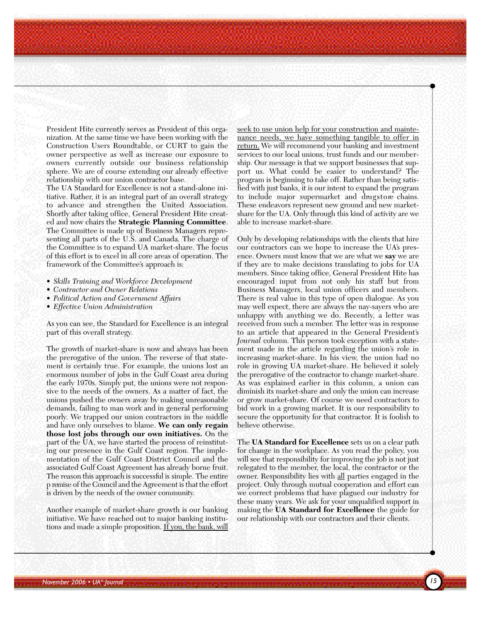President Hite currently serves as President of this organization. At the same time we have been working with the Construction Users Roundtable, or CURT to gain the owner perspective as well as increase our exposure to owners currently outside our business relationship sphere. We are of course extending our already effective relationship with our union contractor base.

The UA Standard for Excellence is not a stand-alone initiative. Rather, it is an integral part of an overall strategy to advance and strengthen the United Association. Shortly after taking office, General President Hite created and now chairs the **Strategic Planning Committee**. The Committee is made up of Business Managers representing all parts of the U.S. and Canada. The charge of the Committee is to expand UA market-share. The focus of this effort is to excel in all core areas of operation. The framework of the Committee's approach is:

- *Skills Training and Workforce Development*
- *Contractor and Owner Relations*
- *Political Action and Government Affairs*
- *Effective Union Administration*

As you can see, the Standard for Excellence is an integral part of this overall strategy.

The growth of market-share is now and always has been the prerogative of the union. The reverse of that statement is certainly true. For example, the unions lost an enormous number of jobs in the Gulf Coast area during the early 1970s. Simply put, the unions were not responsive to the needs of the owners. As a matter of fact, the unions pushed the owners away by making unreasonable demands, failing to man work and in general performing poorly. We trapped our union contractors in the middle and have only ourselves to blame. **We can only regain those lost jobs through our own initiatives.** On the part of the UA, we have started the process of reinstituting our presence in the Gulf Coast region. The implementation of the Gulf Coast District Council and the associated Gulf Coast Agreement has already borne fruit. The reason this approach is successful is simple. The entire p remise of the Council and the Agreement is that the effort is driven by the needs of the owner community.

Another example of market-share growth is our banking initiative. We have reached out to major banking institutions and made a simple proposition. If you, the bank, will

seek to use union help for your construction and maintenance needs, we have something tangible to offer in return. We will recommend your banking and investment services to our local unions, trust funds and our membership. Our message is that we support businesses that support us. What could be easier to understand? The program is beginning to take off. Rather than being satisfied with just banks, it is our intent to expand the program to include major supermarket and drugstore chains. These endeavors represent new ground and new marketshare for the UA. Only through this kind of activity are we able to increase market-share.

Only by developing relationships with the clients that hire our contractors can we hope to increase the UA's presence. Owners must know that we are what we **say** we are if they are to make decisions translating to jobs for UA members. Since taking office, General President Hite has encouraged input from not only his staff but from Business Managers, local union officers and members. There is real value in this type of open dialogue. As you may well expect, there are always the nay-sayers who are unhappy with anything we do. Recently, a letter was received from such a member. The letter was in response to an article that appeared in the General President's *Journal* column. This person took exception with a statement made in the article regarding the union's role in increasing market-share. In his view, the union had no role in growing UA market-share. He believed it solely the prerogative of the contractor to change market-share. As was explained earlier in this column, a union can diminish its market-share and only the union can increase or grow market-share. Of course we need contractors to bid work in a growing market. It is our responsibility to secure the opportunity for that contractor. It is foolish to believe otherwise.

The **UA Standard for Excellence** sets us on a clear path for change in the workplace. As you read the policy, you will see that responsibility for improving the job is not just relegated to the member, the local, the contractor or the owner. Responsibility lies with all parties engaged in the project. Only through mutual cooperation and effort can we correct problems that have plagued our industry for these many years. We ask for your unqualified support in making the **UA Standard for Excellence** the guide for our relationship with our contractors and their clients.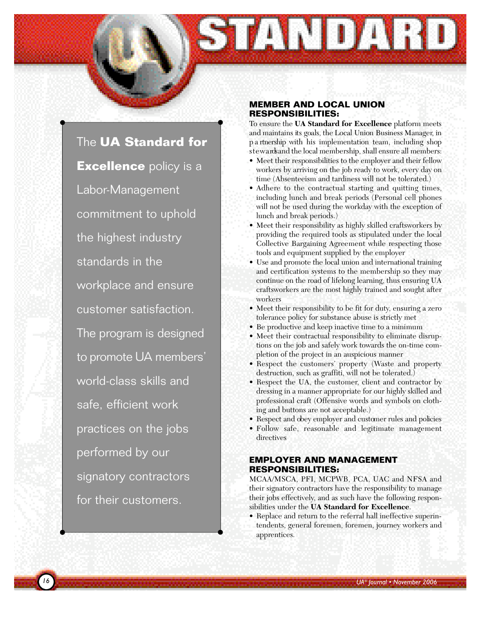

*16*

#### **MEMBER AND LOCAL UNION RESPONSIBILITIES:**

31 A DA H D

To ensure the **UA Standard for Excellence** platform meets and maintains its goals, the Local Union Business Manager, in p a rtnership with his implementation team, including shop s t ewards and the local membership, shall ensure all members:

- Meet their responsibilities to the employer and their fellow workers by arriving on the job ready to work, every day on time (Absenteeism and tardiness will not be tolerated.)
- Adhere to the contractual starting and quitting times, including lunch and break periods (Personal cell phones will not be used during the workday with the exception of lunch and break periods.)
- Meet their responsibility as highly skilled craftsworkers by providing the required tools as stipulated under the local Collective Bargaining Agreement while respecting those tools and equipment supplied by the employer
- Use and promote the local union and international training and certification systems to the membership so they may continue on the road of lifelong learning, thus ensuring UA craftsworkers are the most highly trained and sought after workers
- Meet their responsibility to be fit for duty, ensuring a zero tolerance policy for substance abuse is strictly met
- Be productive and keep inactive time to a minimum
- Meet their contractual responsibility to eliminate disruptions on the job and safely work towards the on-time completion of the project in an auspicious manner
- Respect the customers' property (Waste and property destruction, such as graffiti, will not be tolerated.)
- Respect the UA, the customer, client and contractor by dressing in a manner appropriate for our highly skilled and professional craft (Offensive words and symbols on clothing and buttons are not acceptable.)
- Respect and obey employer and customer rules and policies
- Follow safe, reasonable and legitimate management directives

## **EMPLOYER AND MANAGEMENT RESPONSIBILITIES:**

MCAA/MSCA, PFI, MCPWB, PCA, UAC and NFSA and their signatory contractors have the responsibility to manage their jobs effectively, and as such have the following responsibilities under the **UA Standard for Excellence**.

• Replace and return to the referral hall ineffective superintendents, general foremen, foremen, journey workers and apprentices.